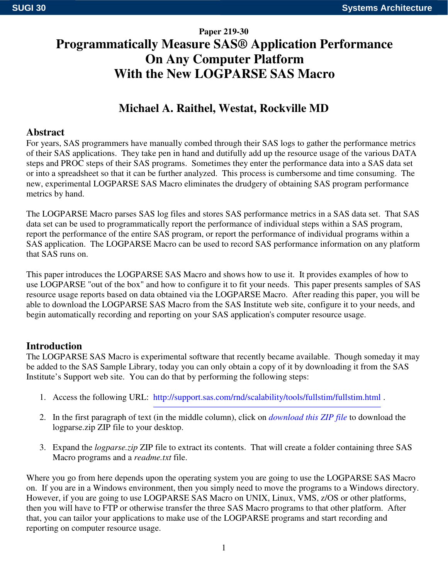# **Paper 219-30 Programmatically Measure SAS® Application Performance On Any Computer Platform With the New LOGPARSE SAS Macro**

# **Michael A. Raithel, Westat, Rockville MD**

# **Abstract**

For years, SAS programmers have manually combed through their SAS logs to gather the performance metrics of their SAS applications. They take pen in hand and dutifully add up the resource usage of the various DATA steps and PROC steps of their SAS programs. Sometimes they enter the performance data into a SAS data set or into a spreadsheet so that it can be further analyzed. This process is cumbersome and time consuming. The new, experimental LOGPARSE SAS Macro eliminates the drudgery of obtaining SAS program performance metrics by hand.

The LOGPARSE Macro parses SAS log files and stores SAS performance metrics in a SAS data set. That SAS data set can be used to programmatically report the performance of individual steps within a SAS program, report the performance of the entire SAS program, or report the performance of individual programs within a SAS application. The LOGPARSE Macro can be used to record SAS performance information on any platform that SAS runs on.

This paper introduces the LOGPARSE SAS Macro and shows how to use it. It provides examples of how to use LOGPARSE "out of the box" and how to configure it to fit your needs. This paper presents samples of SAS resource usage reports based on data obtained via the LOGPARSE Macro. After reading this paper, you will be able to download the LOGPARSE SAS Macro from the SAS Institute web site, configure it to your needs, and begin automatically recording and reporting on your SAS application's computer resource usage.

### **Introduction**

The LOGPARSE SAS Macro is experimental software that recently became available. Though someday it may be added to the SAS Sample Library, today you can only obtain a copy of it by downloading it from the SAS Institute's Support web site. You can do that by performing the following steps:

- 1. Access the following URL: http://support.sas.com/rnd/scalability/tools/fullstim/fullstim.html .
- 2. In the first paragraph of text (in the middle column), click on *download this ZIP file* to download the logparse.zip ZIP file to your desktop.
- 3. Expand the *logparse.zip* ZIP file to extract its contents. That will create a folder containing three SAS Macro programs and a *readme.txt* file.

Where you go from here depends upon the operating system you are going to use the LOGPARSE SAS Macro on. If you are in a Windows environment, then you simply need to move the programs to a Windows directory. However, if you are going to use LOGPARSE SAS Macro on UNIX, Linux, VMS, z/OS or other platforms, then you will have to FTP or otherwise transfer the three SAS Macro programs to that other platform. After that, you can tailor your applications to make use of the LOGPARSE programs and start recording and reporting on computer resource usage.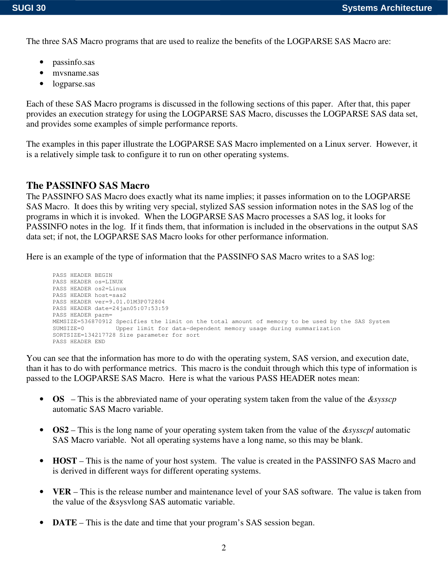The three SAS Macro programs that are used to realize the benefits of the LOGPARSE SAS Macro are:

- passinfo.sas
- mvsname.sas
- logparse.sas

Each of these SAS Macro programs is discussed in the following sections of this paper. After that, this paper provides an execution strategy for using the LOGPARSE SAS Macro, discusses the LOGPARSE SAS data set, and provides some examples of simple performance reports.

The examples in this paper illustrate the LOGPARSE SAS Macro implemented on a Linux server. However, it is a relatively simple task to configure it to run on other operating systems.

#### **The PASSINFO SAS Macro**

The PASSINFO SAS Macro does exactly what its name implies; it passes information on to the LOGPARSE SAS Macro. It does this by writing very special, stylized SAS session information notes in the SAS log of the programs in which it is invoked. When the LOGPARSE SAS Macro processes a SAS log, it looks for PASSINFO notes in the log. If it finds them, that information is included in the observations in the output SAS data set; if not, the LOGPARSE SAS Macro looks for other performance information.

Here is an example of the type of information that the PASSINFO SAS Macro writes to a SAS log:

```
PASS HEADER BEGIN
PASS HEADER os=LINUX
PASS HEADER os2=Linux
PASS HEADER host=sas2
PASS HEADER ver=9.01.01M3P072804
PASS HEADER date=24jan05:07:53:59
PASS HEADER parm=
MEMSIZE=536870912 Specifies the limit on the total amount of memory to be used by the SAS System<br>SUMSIZE=0 [limper limit for data-dependent memory usage during summarization
                     Upper limit for data-dependent memory usage during summarization
SORTSIZE=134217728 Size parameter for sort
PASS HEADER END
```
You can see that the information has more to do with the operating system, SAS version, and execution date, than it has to do with performance metrics. This macro is the conduit through which this type of information is passed to the LOGPARSE SAS Macro. Here is what the various PASS HEADER notes mean:

- **OS** This is the abbreviated name of your operating system taken from the value of the *&sysscp* automatic SAS Macro variable.
- **OS2** This is the long name of your operating system taken from the value of the *&sysscpl* automatic SAS Macro variable. Not all operating systems have a long name, so this may be blank.
- **HOST** This is the name of your host system. The value is created in the PASSINFO SAS Macro and is derived in different ways for different operating systems.
- **VER** This is the release number and maintenance level of your SAS software. The value is taken from the value of the &sysvlong SAS automatic variable.
- **DATE** This is the date and time that your program's SAS session began.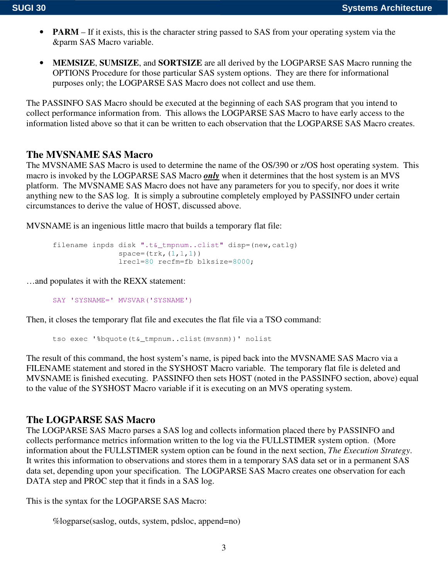- **PARM** If it exists, this is the character string passed to SAS from your operating system via the &parm SAS Macro variable.
- **MEMSIZE**, **SUMSIZE**, and **SORTSIZE** are all derived by the LOGPARSE SAS Macro running the OPTIONS Procedure for those particular SAS system options. They are there for informational purposes only; the LOGPARSE SAS Macro does not collect and use them.

The PASSINFO SAS Macro should be executed at the beginning of each SAS program that you intend to collect performance information from. This allows the LOGPARSE SAS Macro to have early access to the information listed above so that it can be written to each observation that the LOGPARSE SAS Macro creates.

#### **The MVSNAME SAS Macro**

The MVSNAME SAS Macro is used to determine the name of the OS/390 or z/OS host operating system. This macro is invoked by the LOGPARSE SAS Macro *only* when it determines that the host system is an MVS platform. The MVSNAME SAS Macro does not have any parameters for you to specify, nor does it write anything new to the SAS log. It is simply a subroutine completely employed by PASSINFO under certain circumstances to derive the value of HOST, discussed above.

MVSNAME is an ingenious little macro that builds a temporary flat file:

```
filename inpds disk ".t&_tmpnum..clist" disp=(new,catlg)
               space=(trk, (1,1,1))lrecl=80 recfm=fb blksize=8000;
```
…and populates it with the REXX statement:

SAY 'SYSNAME=' MVSVAR('SYSNAME')

Then, it closes the temporary flat file and executes the flat file via a TSO command:

tso exec '%bquote(t&\_tmpnum..clist(mvsnm))' nolist

The result of this command, the host system's name, is piped back into the MVSNAME SAS Macro via a FILENAME statement and stored in the SYSHOST Macro variable. The temporary flat file is deleted and MVSNAME is finished executing. PASSINFO then sets HOST (noted in the PASSINFO section, above) equal to the value of the SYSHOST Macro variable if it is executing on an MVS operating system.

#### **The LOGPARSE SAS Macro**

The LOGPARSE SAS Macro parses a SAS log and collects information placed there by PASSINFO and collects performance metrics information written to the log via the FULLSTIMER system option. (More information about the FULLSTIMER system option can be found in the next section, *The Execution Strategy*. It writes this information to observations and stores them in a temporary SAS data set or in a permanent SAS data set, depending upon your specification. The LOGPARSE SAS Macro creates one observation for each DATA step and PROC step that it finds in a SAS log.

This is the syntax for the LOGPARSE SAS Macro:

%logparse(saslog, outds, system, pdsloc, append=no)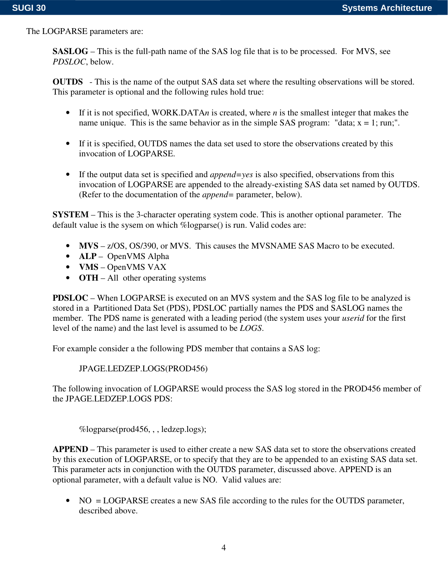The LOGPARSE parameters are:

**SASLOG** – This is the full-path name of the SAS log file that is to be processed. For MVS, see *PDSLOC*, below.

**OUTDS** - This is the name of the output SAS data set where the resulting observations will be stored. This parameter is optional and the following rules hold true:

- If it is not specified, WORK.DATA*n* is created, where *n* is the smallest integer that makes the name unique. This is the same behavior as in the simple SAS program: "data;  $x = 1$ ; run;".
- If it is specified, OUTDS names the data set used to store the observations created by this invocation of LOGPARSE.
- If the output data set is specified and *append=yes* is also specified, observations from this invocation of LOGPARSE are appended to the already-existing SAS data set named by OUTDS. (Refer to the documentation of the *append=* parameter, below).

**SYSTEM** – This is the 3-character operating system code. This is another optional parameter. The default value is the sysem on which %logparse() is run. Valid codes are:

- **MVS** z/OS, OS/390, or MVS. This causes the MVSNAME SAS Macro to be executed.
- **ALP** OpenVMS Alpha
- **VMS** OpenVMS VAX
- **OTH** All other operating systems

**PDSLOC** – When LOGPARSE is executed on an MVS system and the SAS log file to be analyzed is stored in a Partitioned Data Set (PDS), PDSLOC partially names the PDS and SASLOG names the member. The PDS name is generated with a leading period (the system uses your *userid* for the first level of the name) and the last level is assumed to be *LOGS*.

For example consider a the following PDS member that contains a SAS log:

#### JPAGE.LEDZEP.LOGS(PROD456)

The following invocation of LOGPARSE would process the SAS log stored in the PROD456 member of the JPAGE.LEDZEP.LOGS PDS:

%logparse(prod456, , , ledzep.logs);

**APPEND** – This parameter is used to either create a new SAS data set to store the observations created by this execution of LOGPARSE, or to specify that they are to be appended to an existing SAS data set. This parameter acts in conjunction with the OUTDS parameter, discussed above. APPEND is an optional parameter, with a default value is NO. Valid values are:

• NO = LOGPARSE creates a new SAS file according to the rules for the OUTDS parameter, described above.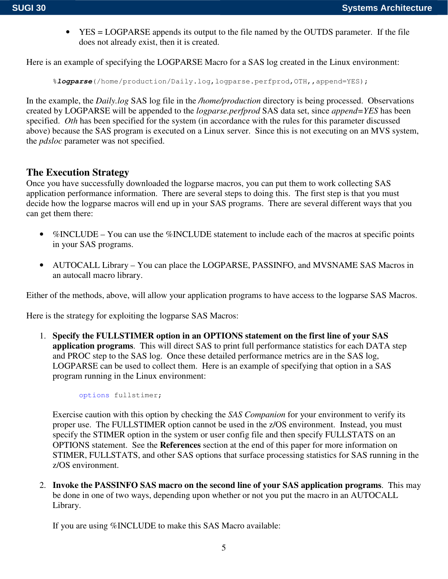• YES = LOGPARSE appends its output to the file named by the OUTDS parameter. If the file does not already exist, then it is created.

Here is an example of specifying the LOGPARSE Macro for a SAS log created in the Linux environment:

```
%logparse(/home/production/Daily.log,logparse.perfprod,OTH,,append=YES);
```
In the example, the *Daily.log* SAS log file in the */home/production* directory is being processed. Observations created by LOGPARSE will be appended to the *logparse.perfprod* SAS data set, since *append=YES* has been specified. *Oth* has been specified for the system (in accordance with the rules for this parameter discussed above) because the SAS program is executed on a Linux server. Since this is not executing on an MVS system, the *pdsloc* parameter was not specified.

#### **The Execution Strategy**

Once you have successfully downloaded the logparse macros, you can put them to work collecting SAS application performance information. There are several steps to doing this. The first step is that you must decide how the logparse macros will end up in your SAS programs. There are several different ways that you can get them there:

- %INCLUDE You can use the %INCLUDE statement to include each of the macros at specific points in your SAS programs.
- AUTOCALL Library You can place the LOGPARSE, PASSINFO, and MVSNAME SAS Macros in an autocall macro library.

Either of the methods, above, will allow your application programs to have access to the logparse SAS Macros.

Here is the strategy for exploiting the logparse SAS Macros:

1. **Specify the FULLSTIMER option in an OPTIONS statement on the first line of your SAS application programs**. This will direct SAS to print full performance statistics for each DATA step and PROC step to the SAS log. Once these detailed performance metrics are in the SAS log, LOGPARSE can be used to collect them. Here is an example of specifying that option in a SAS program running in the Linux environment:

options fullstimer;

Exercise caution with this option by checking the *SAS Companion* for your environment to verify its proper use. The FULLSTIMER option cannot be used in the z/OS environment. Instead, you must specify the STIMER option in the system or user config file and then specify FULLSTATS on an OPTIONS statement. See the **References** section at the end of this paper for more information on STIMER, FULLSTATS, and other SAS options that surface processing statistics for SAS running in the z/OS environment.

2. **Invoke the PASSINFO SAS macro on the second line of your SAS application programs**. This may be done in one of two ways, depending upon whether or not you put the macro in an AUTOCALL Library.

If you are using %INCLUDE to make this SAS Macro available: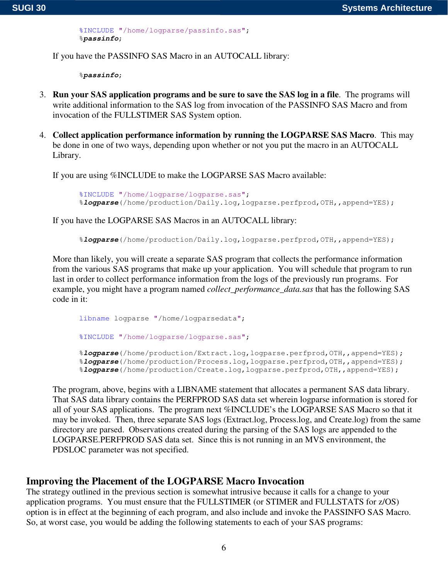%INCLUDE "/home/logparse/passinfo.sas"; %*passinfo*;

If you have the PASSINFO SAS Macro in an AUTOCALL library:

%*passinfo*;

- 3. **Run your SAS application programs and be sure to save the SAS log in a file**. The programs will write additional information to the SAS log from invocation of the PASSINFO SAS Macro and from invocation of the FULLSTIMER SAS System option.
- 4. **Collect application performance information by running the LOGPARSE SAS Macro**. This may be done in one of two ways, depending upon whether or not you put the macro in an AUTOCALL Library.

If you are using %INCLUDE to make the LOGPARSE SAS Macro available:

```
%INCLUDE "/home/logparse/logparse.sas";
%logparse(/home/production/Daily.log,logparse.perfprod,OTH,,append=YES);
```
If you have the LOGPARSE SAS Macros in an AUTOCALL library:

```
%logparse(/home/production/Daily.log,logparse.perfprod,OTH,,append=YES);
```
More than likely, you will create a separate SAS program that collects the performance information from the various SAS programs that make up your application. You will schedule that program to run last in order to collect performance information from the logs of the previously run programs. For example, you might have a program named *collect\_performance\_data.sas* that has the following SAS code in it:

```
libname logparse "/home/logparsedata";
%INCLUDE "/home/logparse/logparse.sas";
%logparse(/home/production/Extract.log,logparse.perfprod,OTH,,append=YES);
%logparse(/home/production/Process.log,logparse.perfprod,OTH,,append=YES);
%logparse(/home/production/Create.log,logparse.perfprod,OTH,,append=YES);
```
The program, above, begins with a LIBNAME statement that allocates a permanent SAS data library. That SAS data library contains the PERFPROD SAS data set wherein logparse information is stored for all of your SAS applications. The program next %INCLUDE's the LOGPARSE SAS Macro so that it may be invoked. Then, three separate SAS logs (Extract.log, Process.log, and Create.log) from the same directory are parsed. Observations created during the parsing of the SAS logs are appended to the LOGPARSE.PERFPROD SAS data set. Since this is not running in an MVS environment, the PDSLOC parameter was not specified.

#### **Improving the Placement of the LOGPARSE Macro Invocation**

The strategy outlined in the previous section is somewhat intrusive because it calls for a change to your application programs. You must ensure that the FULLSTIMER (or STIMER and FULLSTATS for z/OS) option is in effect at the beginning of each program, and also include and invoke the PASSINFO SAS Macro. So, at worst case, you would be adding the following statements to each of your SAS programs: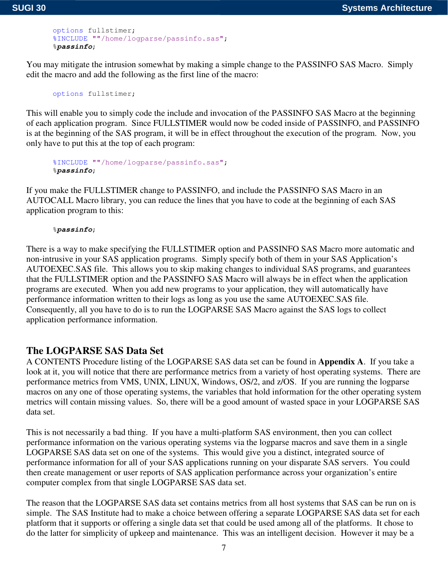```
options fullstimer;
%INCLUDE ""/home/logparse/passinfo.sas";
%passinfo;
```
You may mitigate the intrusion somewhat by making a simple change to the PASSINFO SAS Macro. Simply edit the macro and add the following as the first line of the macro:

```
options fullstimer;
```
This will enable you to simply code the include and invocation of the PASSINFO SAS Macro at the beginning of each application program. Since FULLSTIMER would now be coded inside of PASSINFO, and PASSINFO is at the beginning of the SAS program, it will be in effect throughout the execution of the program. Now, you only have to put this at the top of each program:

```
%INCLUDE ""/home/logparse/passinfo.sas";
%passinfo;
```
If you make the FULLSTIMER change to PASSINFO, and include the PASSINFO SAS Macro in an AUTOCALL Macro library, you can reduce the lines that you have to code at the beginning of each SAS application program to this:

%*passinfo*;

There is a way to make specifying the FULLSTIMER option and PASSINFO SAS Macro more automatic and non-intrusive in your SAS application programs. Simply specify both of them in your SAS Application's AUTOEXEC.SAS file. This allows you to skip making changes to individual SAS programs, and guarantees that the FULLSTIMER option and the PASSINFO SAS Macro will always be in effect when the application programs are executed. When you add new programs to your application, they will automatically have performance information written to their logs as long as you use the same AUTOEXEC.SAS file. Consequently, all you have to do is to run the LOGPARSE SAS Macro against the SAS logs to collect application performance information.

### **The LOGPARSE SAS Data Set**

A CONTENTS Procedure listing of the LOGPARSE SAS data set can be found in **Appendix A**. If you take a look at it, you will notice that there are performance metrics from a variety of host operating systems. There are performance metrics from VMS, UNIX, LINUX, Windows, OS/2, and z/OS. If you are running the logparse macros on any one of those operating systems, the variables that hold information for the other operating system metrics will contain missing values. So, there will be a good amount of wasted space in your LOGPARSE SAS data set.

This is not necessarily a bad thing. If you have a multi-platform SAS environment, then you can collect performance information on the various operating systems via the logparse macros and save them in a single LOGPARSE SAS data set on one of the systems. This would give you a distinct, integrated source of performance information for all of your SAS applications running on your disparate SAS servers. You could then create management or user reports of SAS application performance across your organization's entire computer complex from that single LOGPARSE SAS data set.

The reason that the LOGPARSE SAS data set contains metrics from all host systems that SAS can be run on is simple. The SAS Institute had to make a choice between offering a separate LOGPARSE SAS data set for each platform that it supports or offering a single data set that could be used among all of the platforms. It chose to do the latter for simplicity of upkeep and maintenance. This was an intelligent decision. However it may be a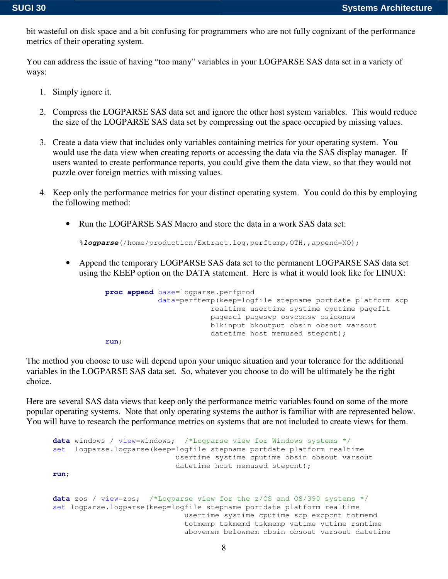bit wasteful on disk space and a bit confusing for programmers who are not fully cognizant of the performance metrics of their operating system.

You can address the issue of having "too many" variables in your LOGPARSE SAS data set in a variety of ways:

- 1. Simply ignore it.
- 2. Compress the LOGPARSE SAS data set and ignore the other host system variables. This would reduce the size of the LOGPARSE SAS data set by compressing out the space occupied by missing values.
- 3. Create a data view that includes only variables containing metrics for your operating system. You would use the data view when creating reports or accessing the data via the SAS display manager. If users wanted to create performance reports, you could give them the data view, so that they would not puzzle over foreign metrics with missing values.
- 4. Keep only the performance metrics for your distinct operating system. You could do this by employing the following method:
	- Run the LOGPARSE SAS Macro and store the data in a work SAS data set:

%*logparse*(/home/production/Extract.log,perftemp,OTH,,append=NO);

• Append the temporary LOGPARSE SAS data set to the permanent LOGPARSE SAS data set using the KEEP option on the DATA statement. Here is what it would look like for LINUX:

```
proc append base=logparse.perfprod
            data=perftemp(keep=logfile stepname portdate platform scp
                        realtime usertime systime cputime pageflt
                        pagercl pageswp osvconsw osiconsw
                        blkinput bkoutput obsin obsout varsout
                        datetime host memused stepcnt);
run;
```
The method you choose to use will depend upon your unique situation and your tolerance for the additional variables in the LOGPARSE SAS data set. So, whatever you choose to do will be ultimately be the right choice.

Here are several SAS data views that keep only the performance metric variables found on some of the more popular operating systems. Note that only operating systems the author is familiar with are represented below. You will have to research the performance metrics on systems that are not included to create views for them.

```
data windows / view=windows; /*Logparse view for Windows systems */
set logparse.logparse(keep=logfile stepname portdate platform realtime
                           usertime systime cputime obsin obsout varsout
                           datetime host memused stepcnt);
run;
data zos / view=zos; /*Logparse view for the z/OS and OS/390 systems */
set logparse.logparse(keep=logfile stepname portdate platform realtime
                             usertime systime cputime scp excpcnt totmemd
                             totmemp tskmemd tskmemp vatime vutime rsmtime
                             abovemem belowmem obsin obsout varsout datetime
```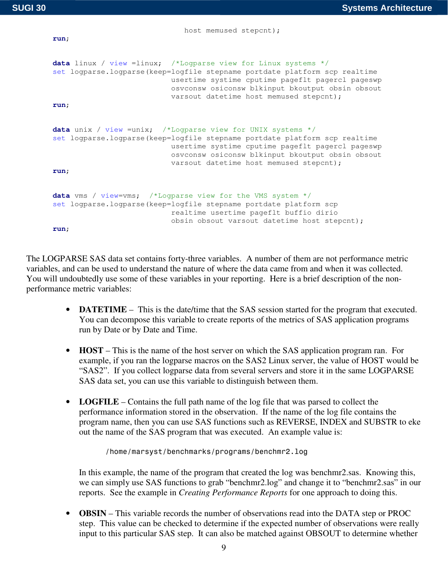**run**;

host memused stepcnt);

```
data linux / view =linux; /*Logparse view for Linux systems */
set logparse.logparse(keep=logfile stepname portdate platform scp realtime
                          usertime systime cputime pageflt pagercl pageswp
                          osvconsw osiconsw blkinput bkoutput obsin obsout
                          varsout datetime host memused stepcnt);
run;
data unix / view =unix; /*Logparse view for UNIX systems */
set logparse.logparse(keep=logfile stepname portdate platform scp realtime
                          usertime systime cputime pageflt pagercl pageswp
                          osvconsw osiconsw blkinput bkoutput obsin obsout
                          varsout datetime host memused stepcnt);
run;
data vms / view=vms; /*Logparse view for the VMS system */
set logparse.logparse(keep=logfile stepname portdate platform scp
                          realtime usertime pageflt buffio dirio
                          obsin obsout varsout datetime host stepcnt);
run;
```
The LOGPARSE SAS data set contains forty-three variables. A number of them are not performance metric variables, and can be used to understand the nature of where the data came from and when it was collected. You will undoubtedly use some of these variables in your reporting. Here is a brief description of the nonperformance metric variables:

- **DATETIME** This is the date/time that the SAS session started for the program that executed. You can decompose this variable to create reports of the metrics of SAS application programs run by Date or by Date and Time.
- **HOST** This is the name of the host server on which the SAS application program ran. For example, if you ran the logparse macros on the SAS2 Linux server, the value of HOST would be "SAS2". If you collect logparse data from several servers and store it in the same LOGPARSE SAS data set, you can use this variable to distinguish between them.
- **LOGFILE** Contains the full path name of the log file that was parsed to collect the performance information stored in the observation. If the name of the log file contains the program name, then you can use SAS functions such as REVERSE, INDEX and SUBSTR to eke out the name of the SAS program that was executed. An example value is:

/home/marsyst/benchmarks/programs/benchmr2.log

In this example, the name of the program that created the log was benchmr2.sas. Knowing this, we can simply use SAS functions to grab "benchmr2.log" and change it to "benchmr2.sas" in our reports. See the example in *Creating Performance Reports* for one approach to doing this.

• **OBSIN** – This variable records the number of observations read into the DATA step or PROC step. This value can be checked to determine if the expected number of observations were really input to this particular SAS step. It can also be matched against OBSOUT to determine whether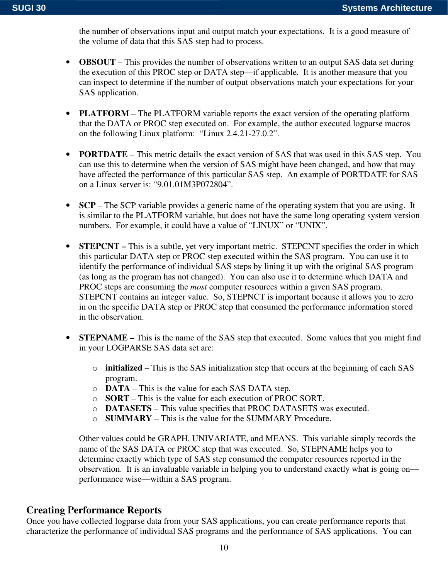the number of observations input and output match your expectations. It is a good measure of the volume of data that this SAS step had to process.

- **OBSOUT** This provides the number of observations written to an output SAS data set during the execution of this PROC step or DATA step—if applicable. It is another measure that you can inspect to determine if the number of output observations match your expectations for your SAS application.
- **PLATFORM** The PLATFORM variable reports the exact version of the operating platform that the DATA or PROC step executed on. For example, the author executed logparse macros on the following Linux platform: "Linux 2.4.21-27.0.2".
- **PORTDATE** This metric details the exact version of SAS that was used in this SAS step. You can use this to determine when the version of SAS might have been changed, and how that may have affected the performance of this particular SAS step. An example of PORTDATE for SAS on a Linux server is: "9.01.01M3P072804".
- **SCP** The SCP variable provides a generic name of the operating system that you are using. It is similar to the PLATFORM variable, but does not have the same long operating system version numbers. For example, it could have a value of "LINUX" or "UNIX".
- **STEPCNT** This is a subtle, yet very important metric. STEPCNT specifies the order in which this particular DATA step or PROC step executed within the SAS program. You can use it to identify the performance of individual SAS steps by lining it up with the original SAS program (as long as the program has not changed). You can also use it to determine which DATA and PROC steps are consuming the *most* computer resources within a given SAS program. STEPCNT contains an integer value. So, STEPNCT is important because it allows you to zero in on the specific DATA step or PROC step that consumed the performance information stored in the observation.
- **STEPNAME** This is the name of the SAS step that executed. Some values that you might find in your LOGPARSE SAS data set are:
	- o **initialized** This is the SAS initialization step that occurs at the beginning of each SAS program.
	- o **DATA** This is the value for each SAS DATA step.
	- o **SORT** This is the value for each execution of PROC SORT.
	- o **DATASETS** This value specifies that PROC DATASETS was executed.
	- o **SUMMARY** This is the value for the SUMMARY Procedure.

Other values could be GRAPH, UNIVARIATE, and MEANS. This variable simply records the name of the SAS DATA or PROC step that was executed. So, STEPNAME helps you to determine exactly which type of SAS step consumed the computer resources reported in the observation. It is an invaluable variable in helping you to understand exactly what is going on performance wise—within a SAS program.

### **Creating Performance Reports**

Once you have collected logparse data from your SAS applications, you can create performance reports that characterize the performance of individual SAS programs and the performance of SAS applications. You can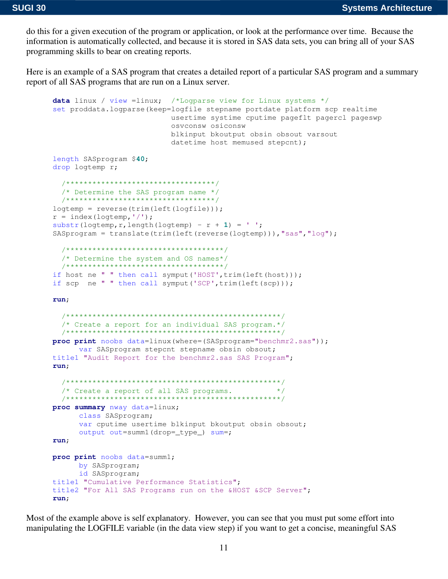do this for a given execution of the program or application, or look at the performance over time. Because the information is automatically collected, and because it is stored in SAS data sets, you can bring all of your SAS programming skills to bear on creating reports.

Here is an example of a SAS program that creates a detailed report of a particular SAS program and a summary report of all SAS programs that are run on a Linux server.

```
data linux / view = linux; /*Logparse view for Linux systems */
set proddata.logparse(keep=logfile stepname portdate platform scp realtime
                       usertime systime cputime pageflt pagercl pageswp
                       OSVCONSW OSICONSW
                       blkinput bkoutput obsin obsout varsout
                        datetime host memused stepcnt);
length SASprogram $40;
drop logtemp r;
 /**********************************/
 /* Determine the SAS program name */
 /**********************************/
loqtemp = reverse(trim(left(logfile)));
r = index(logtemp, ' / ');
substr(logtemp, r, length(logtemp) - r + 1) = ' ';
SASprogram = translate(trim(left(reverse(logtemp))), "sas", "log");
  /************************************/
 /* Determine the system and OS names*/
 /***********************************/
if host ne " " then call symput ('HOST', trim (left (host)));
if scp ne " " then call symput ('SCP', trim (left (scp)));
run:
 /* Create a report for an individual SAS program.*/
 proc print noobs data=linux (where=(SASprogram="benchmr2.sas"));
    var SASprogram stepcnt stepname obsin obsout;
title1 "Audit Report for the benchmr2.sas SAS Program";
run:
  /* Create a report of all SAS programs. */
 proc summary nway data=linux;
     class SASprogram;
     var cputime usertime blkinput bkoutput obsin obsout;
     output out=summ1(drop=_type_) sum=;
run:proc print noobs data=summ1;
     by SASprogram;
     id SASprogram;
title1 "Cumulative Performance Statistics";
title2 "For All SAS Programs run on the &HOST &SCP Server";
run;
```
Most of the example above is self explanatory. However, you can see that you must put some effort into manipulating the LOGFILE variable (in the data view step) if you want to get a concise, meaningful SAS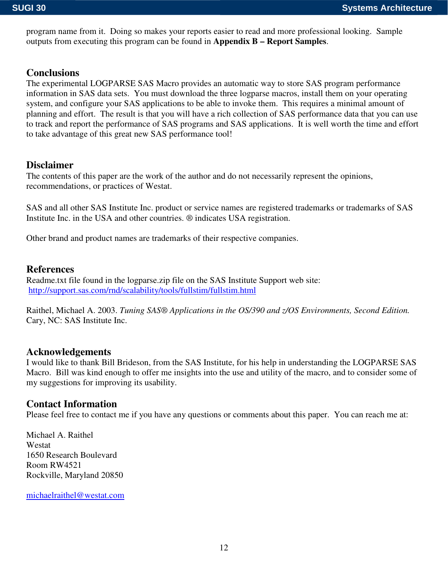program name from it. Doing so makes your reports easier to read and more professional looking. Sample outputs from executing this program can be found in **Appendix B – Report Samples**.

# **Conclusions**

The experimental LOGPARSE SAS Macro provides an automatic way to store SAS program performance information in SAS data sets. You must download the three logparse macros, install them on your operating system, and configure your SAS applications to be able to invoke them. This requires a minimal amount of planning and effort. The result is that you will have a rich collection of SAS performance data that you can use to track and report the performance of SAS programs and SAS applications. It is well worth the time and effort to take advantage of this great new SAS performance tool!

# **Disclaimer**

The contents of this paper are the work of the author and do not necessarily represent the opinions, recommendations, or practices of Westat.

SAS and all other SAS Institute Inc. product or service names are registered trademarks or trademarks of SAS Institute Inc. in the USA and other countries. ® indicates USA registration.

Other brand and product names are trademarks of their respective companies.

# **References**

Readme.txt file found in the logparse.zip file on the SAS Institute Support web site: http://support.sas.com/rnd/scalability/tools/fullstim/fullstim.html

Raithel, Michael A. 2003. *Tuning SAS® Applications in the OS/390 and z/OS Environments, Second Edition.* Cary, NC: SAS Institute Inc.

### **Acknowledgements**

I would like to thank Bill Brideson, from the SAS Institute, for his help in understanding the LOGPARSE SAS Macro. Bill was kind enough to offer me insights into the use and utility of the macro, and to consider some of my suggestions for improving its usability.

# **Contact Information**

Please feel free to contact me if you have any questions or comments about this paper. You can reach me at:

Michael A. Raithel Westat 1650 Research Boulevard Room RW4521 Rockville, Maryland 20850

michaelraithel@westat.com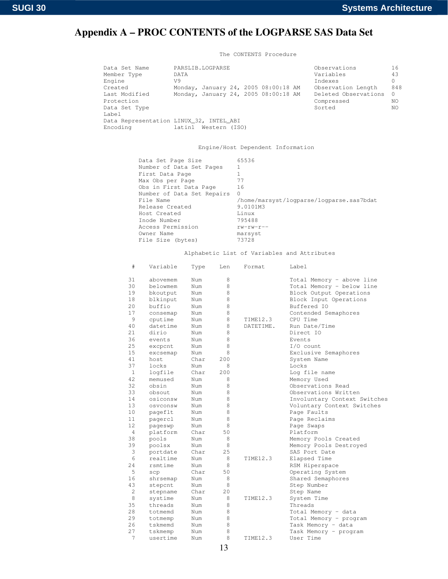# Appendix A - PROC CONTENTS of the LOGPARSE SAS Data Set

The CONTENTS Procedure

| Data Set Name<br>Member Type            | PARSLIB.LOGPARSE<br>DATA |                      |  |                                      | Observations<br>Variables | 16<br>43 |
|-----------------------------------------|--------------------------|----------------------|--|--------------------------------------|---------------------------|----------|
| Engine                                  | V9                       |                      |  |                                      | Indexes                   | $\Omega$ |
| Created                                 |                          |                      |  | Monday, January 24, 2005 08:00:18 AM | Observation Length        | 848      |
| Last Modified                           |                          |                      |  | Monday, January 24, 2005 08:00:18 AM | Deleted Observations      | $\Omega$ |
| Protection                              |                          |                      |  |                                      | Compressed                | NO.      |
| Data Set Type                           |                          |                      |  |                                      | Sorted                    | NO.      |
| Label                                   |                          |                      |  |                                      |                           |          |
| Data Representation LINUX 32, INTEL ABI |                          |                      |  |                                      |                           |          |
| Encoding                                |                          | latin1 Western (ISO) |  |                                      |                           |          |
|                                         |                          |                      |  |                                      |                           |          |

Engine/Host Dependent Information

| Data Set Page Size<br>Number of Data Set Pages<br>First Data Page<br>Max Obs per Page<br>Obs in First Data Page<br>Number of Data Set Repairs<br>File Name<br>Release Created<br>Host Created<br>Inode Number<br>Access Permission | 65536<br>77<br>16<br>$\Omega$<br>/home/marsyst/logparse/logparse.sas7bdat<br>9.0101M3<br>Linux<br>795488<br>$rw$ -rw-r-- |
|------------------------------------------------------------------------------------------------------------------------------------------------------------------------------------------------------------------------------------|--------------------------------------------------------------------------------------------------------------------------|
|                                                                                                                                                                                                                                    |                                                                                                                          |
| Owner Name<br>File Size (bytes)                                                                                                                                                                                                    | marsyst<br>73728                                                                                                         |

Alphabetic List of Variables and Attributes

| #              | Variable | Type | Len | Format    | Label                        |
|----------------|----------|------|-----|-----------|------------------------------|
| 31             | abovemem | Num  | 8   |           | Total Memory - above line    |
| 30             | belowmem | Num  | 8   |           | Total Memory - below line    |
| 19             | bkoutput | Num  | 8   |           | Block Output Operations      |
| 18             | blkinput | Num  | 8   |           | Block Input Operations       |
| 20             | buffio   | Num  | 8   |           | Buffered IO                  |
| 17             | consemap | Num  | 8   |           | Contended Semaphores         |
| 9              | cputime  | Num  | 8   | TIME12.3  | CPU Time                     |
| 40             | datetime | Num  | 8   | DATETIME. | Run Date/Time                |
| 21             | dirio    | Num  | 8   |           | Direct IO                    |
| 36             | events   | Num  | 8   |           | Events                       |
| 25             | excpcnt  | Num  | 8   |           | $I/O$ count                  |
| 15             | excsemap | Num  | 8   |           | Exclusive Semaphores         |
| 41             | host     | Char | 200 |           | System Name                  |
| 37             | locks    | Num  | 8   |           | Locks                        |
| $\mathbf{1}$   | logfile  | Char | 200 |           | Log file name                |
| 42             | memused  | Num  | 8   |           | Memory Used                  |
| 32             | obsin    | Num  | 8   |           | Observations Read            |
| 33             | obsout   | Num  | 8   |           | Observations Written         |
| 14             | osiconsw | Num  | 8   |           | Involuntary Context Switches |
| 13             | osvconsw | Num  | 8   |           | Voluntary Context Switches   |
| 10             | pageflt  | Num  | 8   |           | Page Faults                  |
| 11             | pagercl  | Num  | 8   |           | Page Reclaims                |
| 12             | pageswp  | Num  | 8   |           | Page Swaps                   |
| 4              | platform | Char | 50  |           | Platform                     |
| 38             | pools    | Num  | 8   |           | Memory Pools Created         |
| 39             | poolsx   | Num  | 8   |           | Memory Pools Destroyed       |
| 3              | portdate | Char | 25  |           | SAS Port Date                |
| 6              | realtime | Num  | 8   | TIME12.3  | Elapsed Time                 |
| 2.4            | rsmtime  | Num  | 8   |           | RSM Hiperspace               |
| 5              | scp      | Char | 50  |           | Operating System             |
| 16             | shrsemap | Num  | 8   |           | Shared Semaphores            |
| 43             | stepcnt  | Num  | 8   |           | Step Number                  |
| $\overline{2}$ | stepname | Char | 20  |           | Step Name                    |
| 8              | systime  | Num  | 8   | TIME12.3  | System Time                  |
| 35             | threads  | Num  | 8   |           | Threads                      |
| 28             | totmemd  | Num  | 8   |           | Total Memory - data          |
| 29             | totmemp  | Num  | 8   |           | Total Memory - program       |
| 26             | tskmemd  | Num  | 8   |           | Task Memory - data           |
| 27             | tskmemp  | Num  | 8   |           | Task Memory - program        |
| 7              | usertime | Num  | 8   | TIME12.3  | User Time                    |
|                |          |      |     |           |                              |